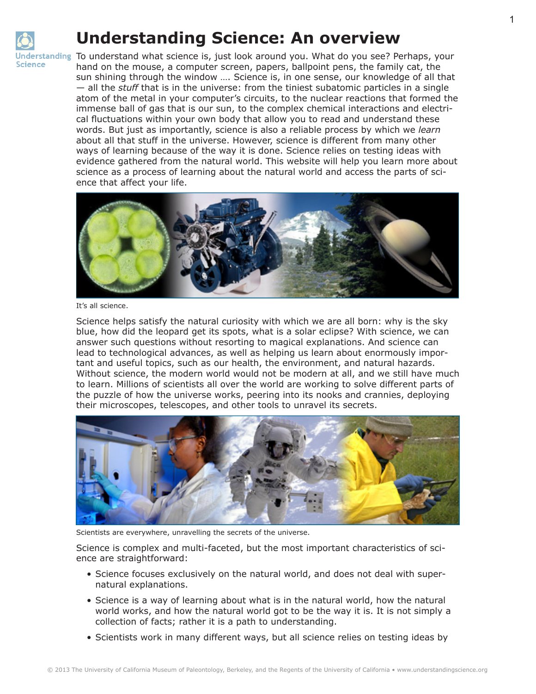

## **Understanding Science: An overview**

nderstanding To understand what science is, just look around you. What do you see? Perhaps, your hand on the mouse, a computer screen, papers, ballpoint pens, the family cat, the sun shining through the window …. Science is, in one sense, our knowledge of all that — all the *stuff* that is in the universe: from the tiniest subatomic particles in a single atom of the metal in your computer's circuits, to the nuclear reactions that formed the immense ball of gas that is our sun, to the complex chemical interactions and electrical fluctuations within your own body that allow you to read and understand these words. But just as importantly, science is also a reliable process by which we *learn* about all that stuff in the universe. However, science is different from many other ways of learning because of the way it is done. Science relies on testing ideas with evidence gathered from the natural world. This website will help you learn more about science as a process of learning about the natural world and access the parts of science that affect your life.



It's all science.

Science helps satisfy the natural curiosity with which we are all born: why is the sky blue, how did the leopard get its spots, what is a solar eclipse? With science, we can answer such questions without resorting to magical explanations. And science can lead to technological advances, as well as helping us learn about enormously important and useful topics, such as our health, the environment, and natural hazards. Without science, the modern world would not be modern at all, and we still have much to learn. Millions of scientists all over the world are working to solve different parts of the puzzle of how the universe works, peering into its nooks and crannies, deploying their microscopes, telescopes, and other tools to unravel its secrets.



Scientists are everywhere, unravelling the secrets of the universe.

Science is complex and multi-faceted, but the most important characteristics of science are straightforward:

- Science focuses exclusively on the natural world, and does not deal with supernatural explanations.
- Science is a way of learning about what is in the natural world, how the natural world works, and how the natural world got to be the way it is. It is not simply a collection of facts; rather it is a path to understanding.
- Scientists work in many different ways, but all science relies on testing ideas by